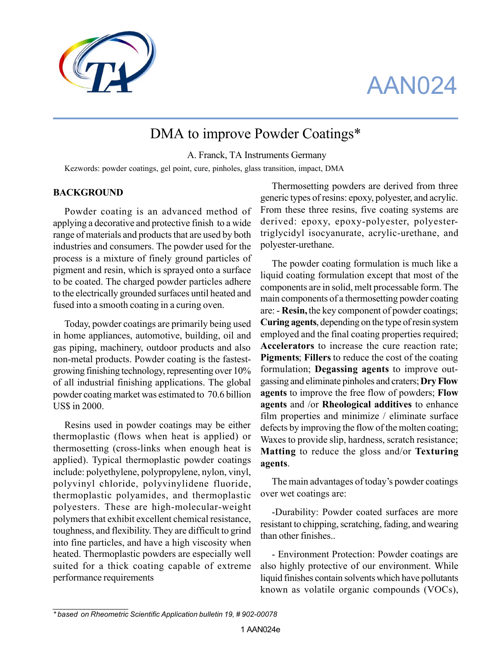# AAN024



# DMA to improve Powder Coatings\*

A. Franck, TA Instruments Germany

Kezwords: powder coatings, gel point, cure, pinholes, glass transition, impact, DMA

## **BACKGROUND**

Powder coating is an advanced method of applying a decorative and protective finish to a wide range of materials and products that are used by both industries and consumers. The powder used for the process is a mixture of finely ground particles of pigment and resin, which is sprayed onto a surface to be coated. The charged powder particles adhere to the electrically grounded surfaces until heated and fused into a smooth coating in a curing oven.

Today, powder coatings are primarily being used in home appliances, automotive, building, oil and gas piping, machinery, outdoor products and also non-metal products. Powder coating is the fastestgrowing finishing technology, representing over 10% of all industrial finishing applications. The global powder coating market was estimated to 70.6 billion US\$ in 2000.

Resins used in powder coatings may be either thermoplastic (flows when heat is applied) or thermosetting (cross-links when enough heat is applied). Typical thermoplastic powder coatings include: polyethylene, polypropylene, nylon, vinyl, polyvinyl chloride, polyvinylidene fluoride, thermoplastic polyamides, and thermoplastic polyesters. These are high-molecular-weight polymers that exhibit excellent chemical resistance, toughness, and flexibility. They are difficult to grind into fine particles, and have a high viscosity when heated. Thermoplastic powders are especially well suited for a thick coating capable of extreme performance requirements

Thermosetting powders are derived from three generic types of resins: epoxy, polyester, and acrylic. From these three resins, five coating systems are derived: epoxy, epoxy-polyester, polyestertriglycidyl isocyanurate, acrylic-urethane, and polyester-urethane.

The powder coating formulation is much like a liquid coating formulation except that most of the components are in solid, melt processable form. The main components of a thermosetting powder coating are: - **Resin,** the key component of powder coatings; **Curing agents**, depending on the type of resin system employed and the final coating properties required; **Accelerators** to increase the cure reaction rate; **Pigments**; **Fillers** to reduce the cost of the coating formulation; **Degassing agents** to improve outgassing and eliminate pinholes and craters; **Dry Flow agents** to improve the free flow of powders; **Flow agents** and /or **Rheological additives** to enhance film properties and minimize / eliminate surface defects by improving the flow of the molten coating; Waxes to provide slip, hardness, scratch resistance; **Matting** to reduce the gloss and/or **Texturing agents**.

The main advantages of today's powder coatings over wet coatings are:

-Durability: Powder coated surfaces are more resistant to chipping, scratching, fading, and wearing than other finishes..

- Environment Protection: Powder coatings are also highly protective of our environment. While liquid finishes contain solvents which have pollutants known as volatile organic compounds (VOCs),

*\_\_\_\_\_\_\_\_\_\_\_\_\_\_\_\_\_\_\_*

*<sup>\*</sup> based on Rheometric Scientific Application bulletin 19, # 902-00078*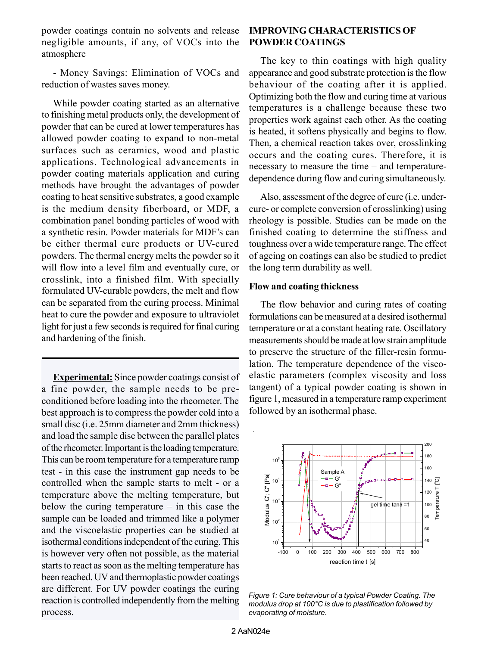powder coatings contain no solvents and release negligible amounts, if any, of VOCs into the atmosphere

- Money Savings: Elimination of VOCs and reduction of wastes saves money.

While powder coating started as an alternative to finishing metal products only, the development of powder that can be cured at lower temperatures has allowed powder coating to expand to non-metal surfaces such as ceramics, wood and plastic applications. Technological advancements in powder coating materials application and curing methods have brought the advantages of powder coating to heat sensitive substrates, a good example is the medium density fiberboard, or MDF, a combination panel bonding particles of wood with a synthetic resin. Powder materials for MDF's can be either thermal cure products or UV-cured powders. The thermal energy melts the powder so it will flow into a level film and eventually cure, or crosslink, into a finished film. With specially formulated UV-curable powders, the melt and flow can be separated from the curing process. Minimal heat to cure the powder and exposure to ultraviolet light for just a few seconds is required for final curing and hardening of the finish.

**Experimental:** Since powder coatings consist of a fine powder, the sample needs to be preconditioned before loading into the rheometer. The best approach is to compress the powder cold into a small disc (i.e. 25mm diameter and 2mm thickness) and load the sample disc between the parallel plates of the rheometer. Important is the loading temperature. This can be room temperature for a temperature ramp test - in this case the instrument gap needs to be controlled when the sample starts to melt - or a temperature above the melting temperature, but below the curing temperature – in this case the sample can be loaded and trimmed like a polymer and the viscoelastic properties can be studied at isothermal conditions independent of the curing. This is however very often not possible, as the material starts to react as soon as the melting temperature has been reached. UV and thermoplastic powder coatings are different. For UV powder coatings the curing reaction is controlled independently from the melting process.

### **IMPROVING CHARACTERISTICS OF POWDER COATINGS**

The key to thin coatings with high quality appearance and good substrate protection is the flow behaviour of the coating after it is applied. Optimizing both the flow and curing time at various temperatures is a challenge because these two properties work against each other. As the coating is heated, it softens physically and begins to flow. Then, a chemical reaction takes over, crosslinking occurs and the coating cures. Therefore, it is necessary to measure the time – and temperaturedependence during flow and curing simultaneously.

Also, assessment of the degree of cure (i.e. undercure- or complete conversion of crosslinking) using rheology is possible. Studies can be made on the finished coating to determine the stiffness and toughness over a wide temperature range. The effect of ageing on coatings can also be studied to predict the long term durability as well.

#### **Flow and coating thickness**

The flow behavior and curing rates of coating formulations can be measured at a desired isothermal temperature or at a constant heating rate. Oscillatory measurements should be made at low strain amplitude to preserve the structure of the filler-resin formulation. The temperature dependence of the viscoelastic parameters (complex viscosity and loss tangent) of a typical powder coating is shown in figure 1, measured in a temperature ramp experiment followed by an isothermal phase.



*Figure 1: Cure behaviour of a typical Powder Coating. The modulus drop at 100°C is due to plastification followed by evaporating of moisture.*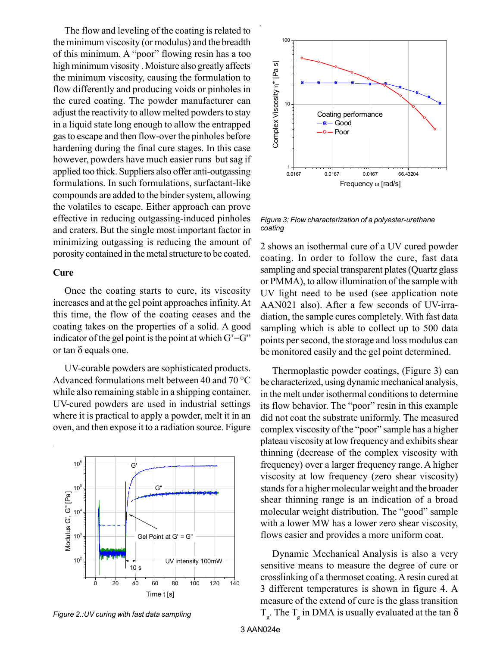The flow and leveling of the coating is related to the minimum viscosity (or modulus) and the breadth of this minimum. A "poor" flowing resin has a too high minimum visosity . Moisture also greatly affects the minimum viscosity, causing the formulation to flow differently and producing voids or pinholes in the cured coating. The powder manufacturer can adjust the reactivity to allow melted powders to stay in a liquid state long enough to allow the entrapped gas to escape and then flow-over the pinholes before hardening during the final cure stages. In this case however, powders have much easier runs but sag if applied too thick. Suppliers also offer anti-outgassing formulations. In such formulations, surfactant-like compounds are added to the binder system, allowing the volatiles to escape. Either approach can prove effective in reducing outgassing-induced pinholes and craters. But the single most important factor in minimizing outgassing is reducing the amount of porosity contained in the metal structure to be coated.

#### **Cure**

Once the coating starts to cure, its viscosity increases and at the gel point approaches infinity. At this time, the flow of the coating ceases and the coating takes on the properties of a solid. A good indicator of the gel point is the point at which  $G'=G''$ or tan δ equals one.

UV-curable powders are sophisticated products. Advanced formulations melt between 40 and 70 °C while also remaining stable in a shipping container. UV-cured powders are used in industrial settings where it is practical to apply a powder, melt it in an oven, and then expose it to a radiation source. Figure



*Figure 2.:UV curing with fast data sampling*



*Figure 3: Flow characterization of a polyester-urethane coating*

2 shows an isothermal cure of a UV cured powder coating. In order to follow the cure, fast data sampling and special transparent plates (Quartz glass or PMMA), to allow illumination of the sample with UV light need to be used (see application note AAN021 also). After a few seconds of UV-irradiation, the sample cures completely. With fast data sampling which is able to collect up to 500 data points per second, the storage and loss modulus can be monitored easily and the gel point determined.

Thermoplastic powder coatings, (Figure 3) can be characterized, using dynamic mechanical analysis, in the melt under isothermal conditions to determine its flow behavior. The "poor" resin in this example did not coat the substrate uniformly. The measured complex viscosity of the "poor" sample has a higher plateau viscosity at low frequency and exhibits shear thinning (decrease of the complex viscosity with frequency) over a larger frequency range. A higher viscosity at low frequency (zero shear viscosity) stands for a higher molecular weight and the broader shear thinning range is an indication of a broad molecular weight distribution. The "good" sample with a lower MW has a lower zero shear viscosity, flows easier and provides a more uniform coat.

Dynamic Mechanical Analysis is also a very sensitive means to measure the degree of cure or crosslinking of a thermoset coating. A resin cured at 3 different temperatures is shown in figure 4. A measure of the extend of cure is the glass transition  $T_{\rm g}$ . The  $T_{\rm g}$  in DMA is usually evaluated at the tan  $\delta$